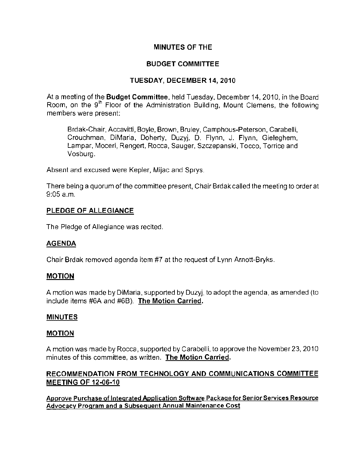## MINUTES OF THE

# BUDGET COMMITTEE

## TUESDAY, DECEMBER 14, 2010

At a meeting of the **Budget Committee**, held Tuesday, December 14, 2010, in the Board Room, on the 9<sup>th</sup> Floor of the Administration Building, Mount Clemens, the following members were present:

Brdak-Chair, Accavitti, Boyle, Brown, Bruley, Camphous-Peterson, Carabelli, Crouchman, DiMaria, Doherty, Duzyj, D. Flynn, J. Flynn, Gieleghem, Lampar, Moceri, Rengert, Rocca, Sauger, Szczepanski, Tocco, Torrice and Vosburg.

Absent and excused were Kepler, Mijac and Sprys.

There being a quorum of the committee present, Chair Brdak called the meeting to order at 9:05 a.m.

## PLEDGE OF ALLEGIANCE

The Pledge of Allegiance was recited.

#### AGENDA

Chair Brdak removed agenda item #7 at the request of Lynn Arnott-Bryks.

#### MOTION

A motion was made by DiMaria, supported by Duzyj, to adopt the agenda, as amended (to include items #6A and #6B). The Motion Carried,

#### MINUTES

#### MOTION

A motion was made by Rocca, supported by Carabelli, to approve the November 23,2010 minutes of this committee, as written. **The Motion Carried.** 

## RECOMMENDATION FROM TECHNOLOGY AND COMMUNICATIONS COMMITTEE MEETING OF 12·06·10

**Approve Purchase of Integrated Application Software Package for Senior Services Resource Advocacy Program and a Subsequent Annual Maintenance Cost**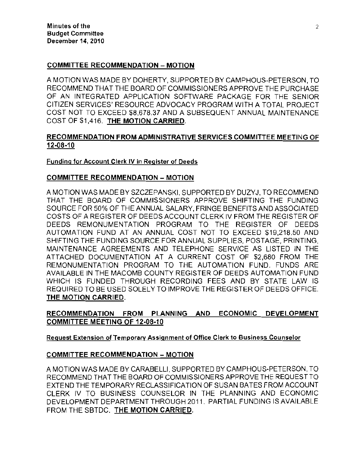### COMMITTEE RECOMMENDATION - MOTION

A MOTION WAS MADE BY DOHERTY, SUPPORTED BY CAMPHOUS-PETERSON, TO RECOMMEND THAT THE BOARD OF COMMISSIONERS APPROVE THE PURCHASE OF AN INTEGRATED APPLICATION SOFTWARE PACKAGE FOR THE SENIOR CITIZEN SERVICES' RESOURCE ADVOCACY PROGRAM WITH A TOTAL PROJECT COST NOT TO EXCEED \$8,678.37 AND A SUBSEQUENT ANNUAL MAINTENANCE COST OF \$1,416. THE MOTION CARRIED.

## RECOMMENDATION FROM ADMINISTRATIVE SERVICES COMMITTEE MEETING OF 12·08·10

#### **Funding for Account Clerk IV in Register of Deeds**

#### COMMITTEE RECOMMENDATION - MOTION

A MOTION WAS MADE BY SZCZEPANSKI, SUPPORTED BY DUZYJ, TO RECOMMEND THAT THE BOARD OF COMMISSIONERS APPROVE SHIFTING THE FUNDING SOURCE FOR 50% OF THE ANNUAL SALARY. FRINGE BENEFITS AND ASSOCIATED COSTS OF A REGISTER OF DEEDS ACCOUNT CLERK IV FROM THE REGISTER OF DEEDS REMONUMENTATION PROGRAM TO THE REGISTER OF DEEDS AUTOMATION FUND AT AN ANNUAL COST NOT TO EXCEED \$19,218.50 AND SHIFTING THE FUNDING SOURCE FOR ANNUAL SUPPLIES, POSTAGE, PRINTING, MAINTENANCE AGREEMENTS AND TELEPHONE SERVICE AS LISTED IN THE ATTACHED DOCUMENTATION AT A CURRENT COST OF \$2.680 FROM THE REMONUMENTATION PROGRAM TO THE AUTOMATION FUND. FUNDS ARE AVAILABLE IN THE MACOMB COUNTY REGISTER OF DEEDS AUTOMATION FUND WHICH IS FUNDED THROUGH RECORDING FEES AND BY STATE LAW IS REQUIRED TO BE USED SOLELY TO IMPROVE THE REGISTER OF DEEDS OFFICE. THE MOTION CARRIED.

## RECOMMENDATION FROM PLANNING AND ECONOMIC DEVELOPMENT COMMITTEE MEETING OF 12·08·10

#### **Reguest Extension** of Temporarv **Assignment of Office Clerk to Business Counselor**

#### COMMITTEE RECOMMENDATION - MOTION

A MOTION WAS MADE BY CARABELLI, SUPPORTED BY CAMPHOUS-PETERSON, TO RECOMMEND THAT THE BOARD OF COMMISSIONERS APPROVE THE REQUEST TO EXTEND THE TEMPORARY RECLASSIFICATION OF SUSAN BATES FROM ACCOUNT CLERK IV TO BUSINESS COUNSELOR IN THE PLANNING AND ECONOMIC DEVELOPMENT DEPARTMENT THROUGH 2011. PARTIAL FUNDING IS AVAILABLE FROM THE SBTDC. THE MOTION CARRIED.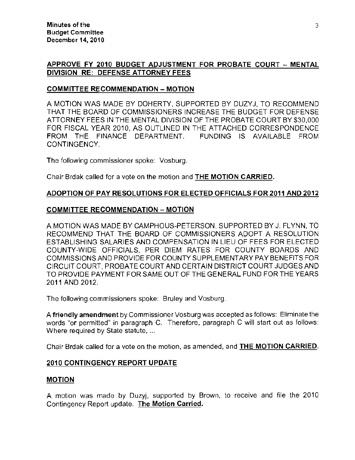## APPROVE FY 2010 BUDGET ADJUSTMENT FOR PROBATE COURT - MENTAL DIVISION RE: DEFENSE ATTORNEY FEES

### COMMITTEE RECOMMENDATION - MOTION

A MOTION WAS MADE BY DOHERTY, SUPPORTED BY DUZYJ, TO RECOMMEND THAT THE BOARD OF COMMISSIONERS INCREASE THE BUDGET FOR DEFENSE ATTORNEY FEES IN THE MENTAL DIVISION OF THE PROBATE COURT BY \$30,000 FOR FISCAL YEAR 2010, AS OUTLINED IN THE ATTACHED CORRESPONDENCE FROM THE FINANCE DEPARTMENT. FUNDING IS AVAILABLE FROM CONTINGENCY.

The following commissioner spoke: Vosburg.

Chair Brdak called for a vote on the motion and THE MOTION CARRIED.

## ADOPTION OF PAY RESOLUTIONS FOR ELECTED OFFICIALS FOR 2011 AND 2012

#### COMMITTEE RECOMMENDATION - MOTION

A MOTION WAS MADE BY CAMPHOUS-PETERSON, SUPPORTED BY J. FLYNN, TO RECOMMEND THAT THE BOARD OF COMMISSIONERS ADOPT A RESOLUTION ESTABLISHING SALARIES AND COMPENSATION IN LIEU OF FEES FOR ELECTED COUNTY-WIDE OFFICIALS, PER DIEM RATES FOR COUNTY BOARDS AND COMMISSIONS AND PROVIDE FOR COUNTY SUPPLEMENTARY PAY BENEFITS FOR CIRCUIT COURT, PROBATE COURT AND CERTAIN DISTRICT COURT JUDGES AND TO PROVIDE PAYMENT FOR SAME OUT OF THE GENERAL FUND FOR THE YEARS 2011 AND 2012.

The following commissioners spoke: Bruley and Vosburg.

A **friendly amendment** by Commissioner Vosburg was accepted as follows: Eliminate the words "or permitted" in paragraph C. Therefore, paragraph C will start out as follows: Where required by State statute, ...

Chair Brdak called for a vote on the motion, as amended, and THE MOTION CARRIED.

#### 2010 CONTINGENCY REPORT UPDATE

#### MOTION

A molion was made by Duzyj, supported by Brown, to receive and file the 2010 Contingency Report update. The Motion Carried.